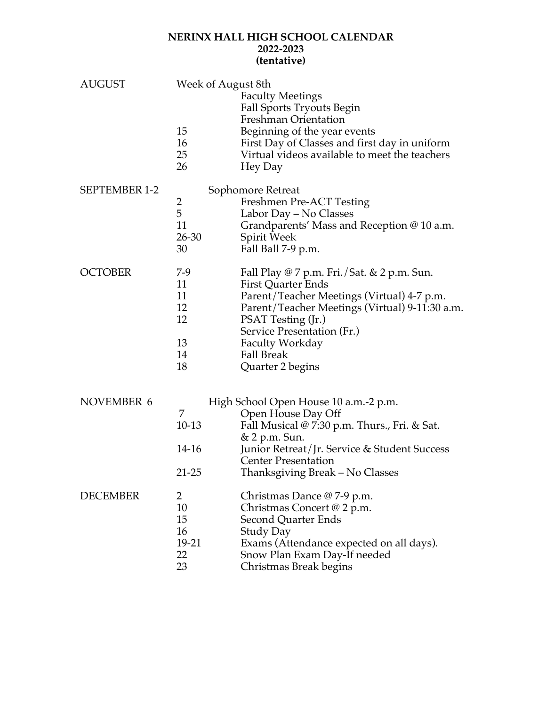## **NERINX HALL HIGH SCHOOL CALENDAR 2022-2023 (tentative)**

| <b>AUGUST</b>        | Week of August 8th<br>15<br>16<br>25<br>26    | <b>Faculty Meetings</b><br>Fall Sports Tryouts Begin<br>Freshman Orientation<br>Beginning of the year events<br>First Day of Classes and first day in uniform<br>Virtual videos available to meet the teachers<br>Hey Day                                                                      |
|----------------------|-----------------------------------------------|------------------------------------------------------------------------------------------------------------------------------------------------------------------------------------------------------------------------------------------------------------------------------------------------|
| <b>SEPTEMBER 1-2</b> | 2<br>5<br>11<br>$26 - 30$<br>30               | Sophomore Retreat<br>Freshmen Pre-ACT Testing<br>Labor Day – No Classes<br>Grandparents' Mass and Reception @ 10 a.m.<br>Spirit Week<br>Fall Ball 7-9 p.m.                                                                                                                                     |
| <b>OCTOBER</b>       | 7-9<br>11<br>11<br>12<br>12<br>13<br>14<br>18 | Fall Play @ 7 p.m. Fri./Sat. & 2 p.m. Sun.<br><b>First Quarter Ends</b><br>Parent/Teacher Meetings (Virtual) 4-7 p.m.<br>Parent/Teacher Meetings (Virtual) 9-11:30 a.m.<br>PSAT Testing (Jr.)<br>Service Presentation (Fr.)<br><b>Faculty Workday</b><br><b>Fall Break</b><br>Quarter 2 begins |
| NOVEMBER 6           | 7<br>10-13<br>14-16<br>$21 - 25$              | High School Open House 10 a.m.-2 p.m.<br>Open House Day Off<br>Fall Musical @ 7:30 p.m. Thurs., Fri. & Sat.<br>& 2 p.m. Sun.<br>Junior Retreat/Jr. Service & Student Success<br><b>Center Presentation</b><br>Thanksgiving Break – No Classes                                                  |
| <b>DECEMBER</b>      | 2<br>10<br>15<br>16<br>19-21<br>22<br>23      | Christmas Dance @ 7-9 p.m.<br>Christmas Concert @ 2 p.m.<br>Second Quarter Ends<br><b>Study Day</b><br>Exams (Attendance expected on all days).<br>Snow Plan Exam Day-If needed<br>Christmas Break begins                                                                                      |